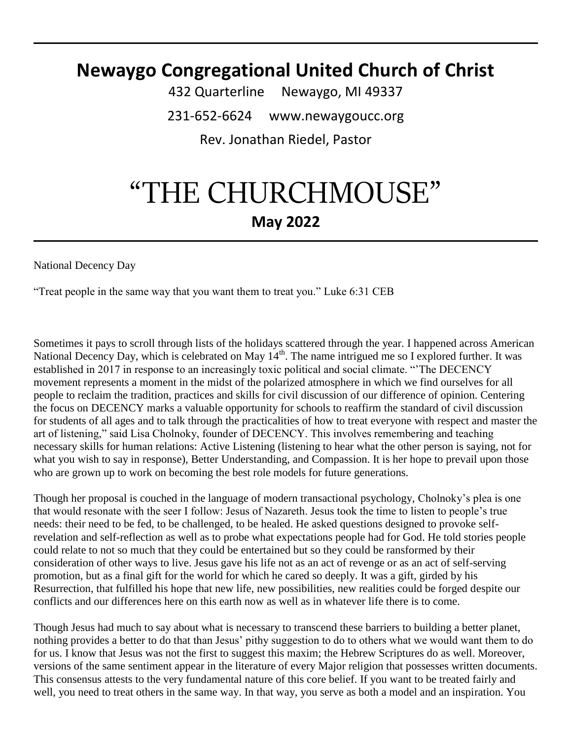# **Newaygo Congregational United Church of Christ**

432 Quarterline Newaygo, MI 49337 231-652-6624 www.newaygoucc.org Rev. Jonathan Riedel, Pastor

# "THE CHURCHMOUSE" **May 2022**

National Decency Day

"Treat people in the same way that you want them to treat you." Luke 6:31 CEB

Sometimes it pays to scroll through lists of the holidays scattered through the year. I happened across American National Decency Day, which is celebrated on May  $14^{th}$ . The name intrigued me so I explored further. It was established in 2017 in response to an increasingly toxic political and social climate. "'The DECENCY movement represents a moment in the midst of the polarized atmosphere in which we find ourselves for all people to reclaim the tradition, practices and skills for civil discussion of our difference of opinion. Centering the focus on DECENCY marks a valuable opportunity for schools to reaffirm the standard of civil discussion for students of all ages and to talk through the practicalities of how to treat everyone with respect and master the art of listening," said Lisa Cholnoky, founder of DECENCY. This involves remembering and teaching necessary skills for human relations: Active Listening (listening to hear what the other person is saying, not for what you wish to say in response), Better Understanding, and Compassion. It is her hope to prevail upon those who are grown up to work on becoming the best role models for future generations.

Though her proposal is couched in the language of modern transactional psychology, Cholnoky's plea is one that would resonate with the seer I follow: Jesus of Nazareth. Jesus took the time to listen to people's true needs: their need to be fed, to be challenged, to be healed. He asked questions designed to provoke selfrevelation and self-reflection as well as to probe what expectations people had for God. He told stories people could relate to not so much that they could be entertained but so they could be ransformed by their consideration of other ways to live. Jesus gave his life not as an act of revenge or as an act of self-serving promotion, but as a final gift for the world for which he cared so deeply. It was a gift, girded by his Resurrection, that fulfilled his hope that new life, new possibilities, new realities could be forged despite our conflicts and our differences here on this earth now as well as in whatever life there is to come.

Though Jesus had much to say about what is necessary to transcend these barriers to building a better planet, nothing provides a better to do that than Jesus' pithy suggestion to do to others what we would want them to do for us. I know that Jesus was not the first to suggest this maxim; the Hebrew Scriptures do as well. Moreover, versions of the same sentiment appear in the literature of every Major religion that possesses written documents. This consensus attests to the very fundamental nature of this core belief. If you want to be treated fairly and well, you need to treat others in the same way. In that way, you serve as both a model and an inspiration. You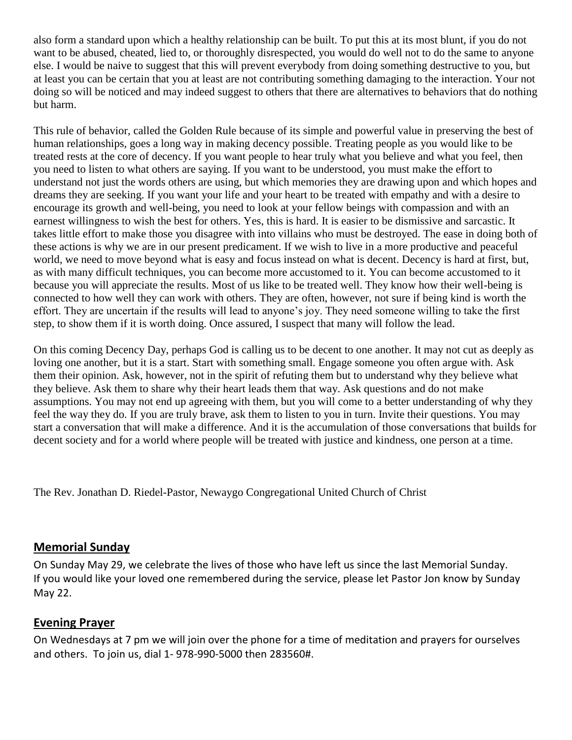also form a standard upon which a healthy relationship can be built. To put this at its most blunt, if you do not want to be abused, cheated, lied to, or thoroughly disrespected, you would do well not to do the same to anyone else. I would be naive to suggest that this will prevent everybody from doing something destructive to you, but at least you can be certain that you at least are not contributing something damaging to the interaction. Your not doing so will be noticed and may indeed suggest to others that there are alternatives to behaviors that do nothing but harm.

This rule of behavior, called the Golden Rule because of its simple and powerful value in preserving the best of human relationships, goes a long way in making decency possible. Treating people as you would like to be treated rests at the core of decency. If you want people to hear truly what you believe and what you feel, then you need to listen to what others are saying. If you want to be understood, you must make the effort to understand not just the words others are using, but which memories they are drawing upon and which hopes and dreams they are seeking. If you want your life and your heart to be treated with empathy and with a desire to encourage its growth and well-being, you need to look at your fellow beings with compassion and with an earnest willingness to wish the best for others. Yes, this is hard. It is easier to be dismissive and sarcastic. It takes little effort to make those you disagree with into villains who must be destroyed. The ease in doing both of these actions is why we are in our present predicament. If we wish to live in a more productive and peaceful world, we need to move beyond what is easy and focus instead on what is decent. Decency is hard at first, but, as with many difficult techniques, you can become more accustomed to it. You can become accustomed to it because you will appreciate the results. Most of us like to be treated well. They know how their well-being is connected to how well they can work with others. They are often, however, not sure if being kind is worth the effort. They are uncertain if the results will lead to anyone's joy. They need someone willing to take the first step, to show them if it is worth doing. Once assured, I suspect that many will follow the lead.

On this coming Decency Day, perhaps God is calling us to be decent to one another. It may not cut as deeply as loving one another, but it is a start. Start with something small. Engage someone you often argue with. Ask them their opinion. Ask, however, not in the spirit of refuting them but to understand why they believe what they believe. Ask them to share why their heart leads them that way. Ask questions and do not make assumptions. You may not end up agreeing with them, but you will come to a better understanding of why they feel the way they do. If you are truly brave, ask them to listen to you in turn. Invite their questions. You may start a conversation that will make a difference. And it is the accumulation of those conversations that builds for decent society and for a world where people will be treated with justice and kindness, one person at a time.

The Rev. Jonathan D. Riedel-Pastor, Newaygo Congregational United Church of Christ

#### **Memorial Sunday**

On Sunday May 29, we celebrate the lives of those who have left us since the last Memorial Sunday. If you would like your loved one remembered during the service, please let Pastor Jon know by Sunday May 22.

#### **Evening Prayer**

On Wednesdays at 7 pm we will join over the phone for a time of meditation and prayers for ourselves and others. To join us, dial 1- 978-990-5000 then 283560#.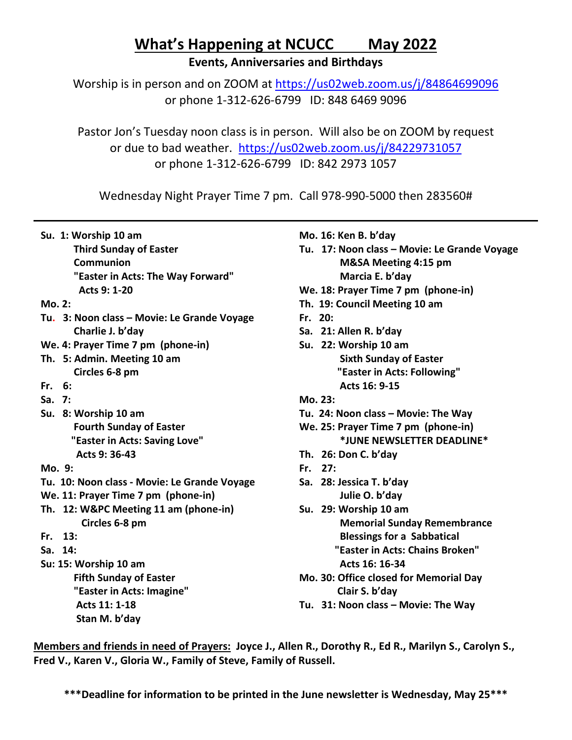## **What's Happening at NCUCC May 2022**

**Events, Anniversaries and Birthdays**

Worship is in person and on ZOOM at<https://us02web.zoom.us/j/84864699096> or phone 1-312-626-6799 ID: 848 6469 9096

Pastor Jon's Tuesday noon class is in person. Will also be on ZOOM by request or due to bad weather. <https://us02web.zoom.us/j/84229731057> or phone 1-312-626-6799 ID: 842 2973 1057

Wednesday Night Prayer Time 7 pm. Call 978-990-5000 then 283560#

 **Third Sunday of Easter Communion "Easter in Acts: The Way Forward" Acts 9: 1-20**

- **Mo. 2:**
- **Tu. 3: Noon class – Movie: Le Grande Voyage Charlie J. b'day**
- **We. 4: Prayer Time 7 pm (phone-in)**
- **Th. 5: Admin. Meeting 10 am Circles 6-8 pm**
- **Fr. 6:**
- **Sa. 7:**
- **Su. 8: Worship 10 am Fourth Sunday of Easter "Easter in Acts: Saving Love" Acts 9: 36-43**
- **Mo. 9:**
- **Tu. 10: Noon class - Movie: Le Grande Voyage**
- **We. 11: Prayer Time 7 pm (phone-in)**
- **Th. 12: W&PC Meeting 11 am (phone-in) Circles 6-8 pm**
- **Fr. 13:**
- **Sa. 14:**
- **Su: 15: Worship 10 am Fifth Sunday of Easter "Easter in Acts: Imagine" Acts 11: 1-18 Stan M. b'day**
- **Mo. 16: Ken B. b'day**
- **Tu. 17: Noon class – Movie: Le Grande Voyage M&SA Meeting 4:15 pm Marcia E. b'day**
- **We. 18: Prayer Time 7 pm (phone-in)**
- **Th. 19: Council Meeting 10 am**
- **Fr. 20:**
- **Sa. 21: Allen R. b'day**
- **Su. 22: Worship 10 am Sixth Sunday of Easter "Easter in Acts: Following" Acts 16: 9-15**
- **Mo. 23:**
- **Tu. 24: Noon class – Movie: The Way**
- **We. 25: Prayer Time 7 pm (phone-in) \*JUNE NEWSLETTER DEADLINE\***
- **Th. 26: Don C. b'day**
- **Fr. 27:**
- **Sa. 28: Jessica T. b'day Julie O. b'day**
- **Su. 29: Worship 10 am Memorial Sunday Remembrance Blessings for a Sabbatical "Easter in Acts: Chains Broken" Acts 16: 16-34**
- **Mo. 30: Office closed for Memorial Day Clair S. b'day**
- **Tu. 31: Noon class – Movie: The Way**

**Members and friends in need of Prayers: Joyce J., Allen R., Dorothy R., Ed R., Marilyn S., Carolyn S., Fred V., Karen V., Gloria W., Family of Steve, Family of Russell.**

**\*\*\*Deadline for information to be printed in the June newsletter is Wednesday, May 25\*\*\***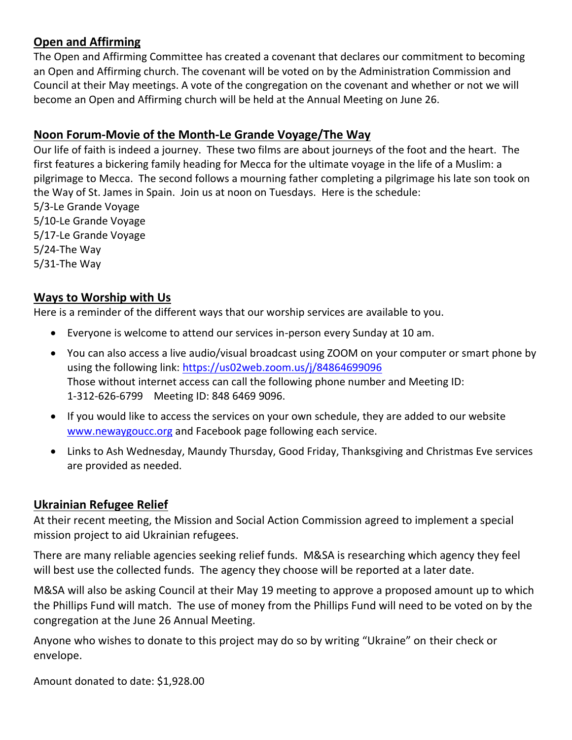### **Open and Affirming**

The Open and Affirming Committee has created a covenant that declares our commitment to becoming an Open and Affirming church. The covenant will be voted on by the Administration Commission and Council at their May meetings. A vote of the congregation on the covenant and whether or not we will become an Open and Affirming church will be held at the Annual Meeting on June 26.

## **Noon Forum-Movie of the Month-Le Grande Voyage/The Way**

Our life of faith is indeed a journey. These two films are about journeys of the foot and the heart. The first features a bickering family heading for Mecca for the ultimate voyage in the life of a Muslim: a pilgrimage to Mecca. The second follows a mourning father completing a pilgrimage his late son took on the Way of St. James in Spain. Join us at noon on Tuesdays. Here is the schedule:

5/3-Le Grande Voyage 5/10-Le Grande Voyage 5/17-Le Grande Voyage 5/24-The Way 5/31-The Way

#### **Ways to Worship with Us**

Here is a reminder of the different ways that our worship services are available to you.

- Everyone is welcome to attend our services in-person every Sunday at 10 am.
- You can also access a live audio/visual broadcast using ZOOM on your computer or smart phone by using the following link:<https://us02web.zoom.us/j/84864699096> Those without internet access can call the following phone number and Meeting ID: 1-312-626-6799 Meeting ID: 848 6469 9096.
- If you would like to access the services on your own schedule, they are added to our website [www.newaygoucc.org](http://www.newaygoucc.org/) and Facebook page following each service.
- Links to Ash Wednesday, Maundy Thursday, Good Friday, Thanksgiving and Christmas Eve services are provided as needed.

#### **Ukrainian Refugee Relief**

At their recent meeting, the Mission and Social Action Commission agreed to implement a special mission project to aid Ukrainian refugees.

There are many reliable agencies seeking relief funds. M&SA is researching which agency they feel will best use the collected funds. The agency they choose will be reported at a later date.

M&SA will also be asking Council at their May 19 meeting to approve a proposed amount up to which the Phillips Fund will match. The use of money from the Phillips Fund will need to be voted on by the congregation at the June 26 Annual Meeting.

Anyone who wishes to donate to this project may do so by writing "Ukraine" on their check or envelope.

Amount donated to date: \$1,928.00